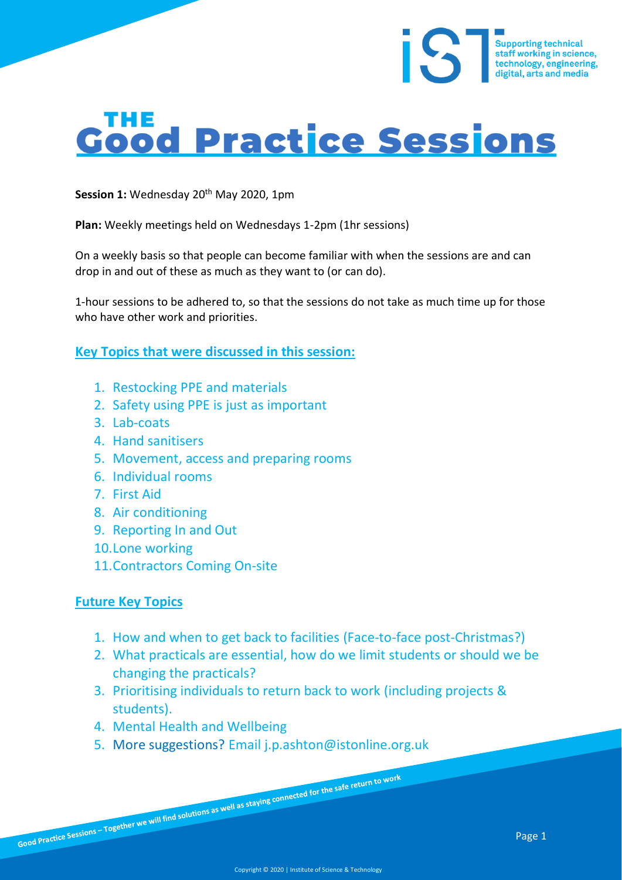# Good Practice Sessions

**Session 1:** Wednesday 20<sup>th</sup> May 2020, 1pm

**Plan:** Weekly meetings held on Wednesdays 1-2pm (1hr sessions)

On a weekly basis so that people can become familiar with when the sessions are and can drop in and out of these as much as they want to (or can do).

1-hour sessions to be adhered to, so that the sessions do not take as much time up for those who have other work and priorities.

**Key Topics that were discussed in this session:**

- 1. Restocking PPE and materials
- 2. Safety using PPE is just as important
- 3. Lab-coats
- 4. Hand sanitisers
- 5. Movement, access and preparing rooms
- 6. Individual rooms
- 7. First Aid
- 8. Air conditioning
- 9. Reporting In and Out
- 10.Lone working
- 11.Contractors Coming On-site

#### **Future Key Topics**

- 1. How and when to get back to facilities (Face-to-face post-Christmas?)
- 2. What practicals are essential, how do we limit students or should we be changing the practicals?
- 3. Prioritising individuals to return back to work (including projects & students).
- 4. Mental Health and Wellbeing
- 5. More suggestions? Email j.p.ashton@istonline.org.uk

Supporting technical<br>staff working in science,<br>technology, engineering,<br>digital, arts and media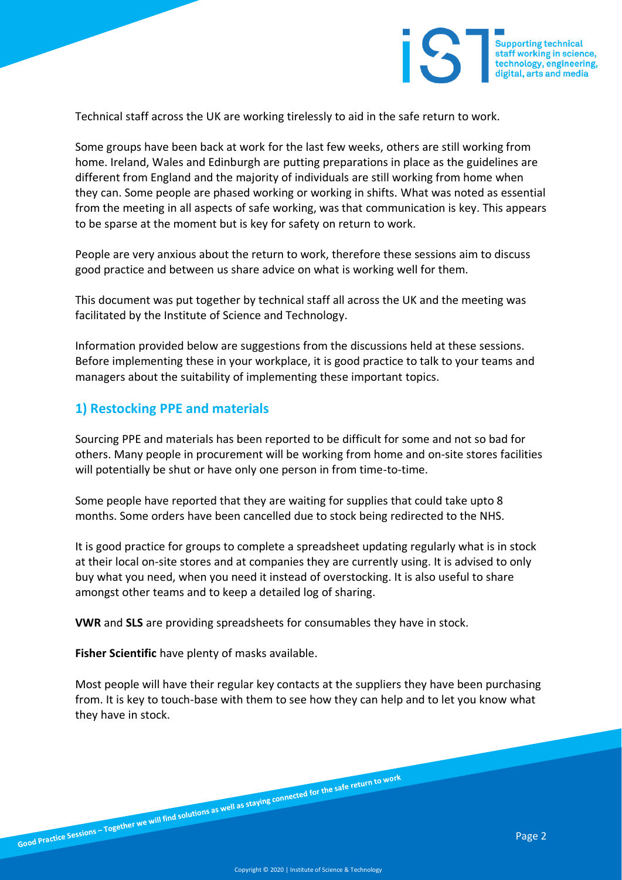

Technical staff across the UK are working tirelessly to aid in the safe return to work.

Some groups have been back at work for the last few weeks, others are still working from home. Ireland, Wales and Edinburgh are putting preparations in place as the guidelines are different from England and the majority of individuals are still working from home when they can. Some people are phased working or working in shifts. What was noted as essential from the meeting in all aspects of safe working, was that communication is key. This appears to be sparse at the moment but is key for safety on return to work.

People are very anxious about the return to work, therefore these sessions aim to discuss good practice and between us share advice on what is working well for them.

This document was put together by technical staff all across the UK and the meeting was facilitated by the Institute of Science and Technology.

Information provided below are suggestions from the discussions held at these sessions. Before implementing these in your workplace, it is good practice to talk to your teams and managers about the suitability of implementing these important topics.

#### **1) Restocking PPE and materials**

Sourcing PPE and materials has been reported to be difficult for some and not so bad for others. Many people in procurement will be working from home and on-site stores facilities will potentially be shut or have only one person in from time-to-time.

Some people have reported that they are waiting for supplies that could take upto 8 months. Some orders have been cancelled due to stock being redirected to the NHS.

It is good practice for groups to complete a spreadsheet updating regularly what is in stock at their local on-site stores and at companies they are currently using. It is advised to only buy what you need, when you need it instead of overstocking. It is also useful to share amongst other teams and to keep a detailed log of sharing.

**VWR** and **SLS** are providing spreadsheets for consumables they have in stock.

**Fisher Scientific** have plenty of masks available.

Most people will have their regular key contacts at the suppliers they have been purchasing from. It is key to touch-base with them to see how they can help and to let you know what they have in stock.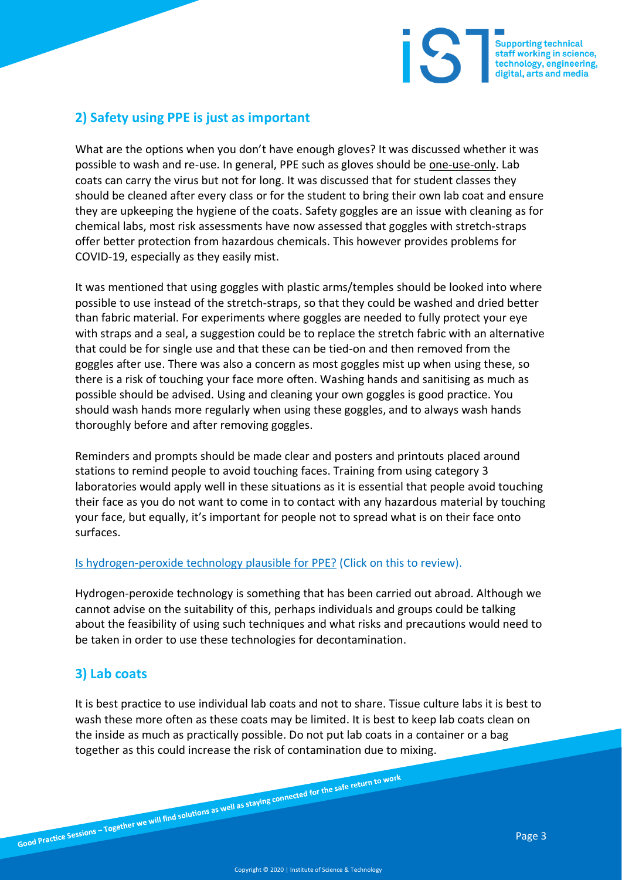

# **2) Safety using PPE is just as important**

What are the options when you don't have enough gloves? It was discussed whether it was possible to wash and re-use. In general, PPE such as gloves should be one-use-only. Lab coats can carry the virus but not for long. It was discussed that for student classes they should be cleaned after every class or for the student to bring their own lab coat and ensure they are upkeeping the hygiene of the coats. Safety goggles are an issue with cleaning as for chemical labs, most risk assessments have now assessed that goggles with stretch-straps offer better protection from hazardous chemicals. This however provides problems for COVID-19, especially as they easily mist.

It was mentioned that using goggles with plastic arms/temples should be looked into where possible to use instead of the stretch-straps, so that they could be washed and dried better than fabric material. For experiments where goggles are needed to fully protect your eye with straps and a seal, a suggestion could be to replace the stretch fabric with an alternative that could be for single use and that these can be tied-on and then removed from the goggles after use. There was also a concern as most goggles mist up when using these, so there is a risk of touching your face more often. Washing hands and sanitising as much as possible should be advised. Using and cleaning your own goggles is good practice. You should wash hands more regularly when using these goggles, and to always wash hands thoroughly before and after removing goggles.

Reminders and prompts should be made clear and posters and printouts placed around stations to remind people to avoid touching faces. Training from using category 3 laboratories would apply well in these situations as it is essential that people avoid touching their face as you do not want to come in to contact with any hazardous material by touching your face, but equally, it's important for people not to spread what is on their face onto surfaces.

#### [Is hydrogen-peroxide technology plausible for PPE?](https://www.hse.ie/eng/staff/safetywellbeing/healthsafetyand%20wellbeing/safety%20alert%20hp%20hydrogen%20peroxide%20decontamination.pdf) (Click on this to review).

Hydrogen-peroxide technology is something that has been carried out abroad. Although we cannot advise on the suitability of this, perhaps individuals and groups could be talking about the feasibility of using such techniques and what risks and precautions would need to be taken in order to use these technologies for decontamination.

# **3) Lab coats**

It is best practice to use individual lab coats and not to share. Tissue culture labs it is best to wash these more often as these coats may be limited. It is best to keep lab coats clean on the inside as much as practically possible. Do not put lab coats in a container or a bag together as this could increase the risk of contamination due to mixing.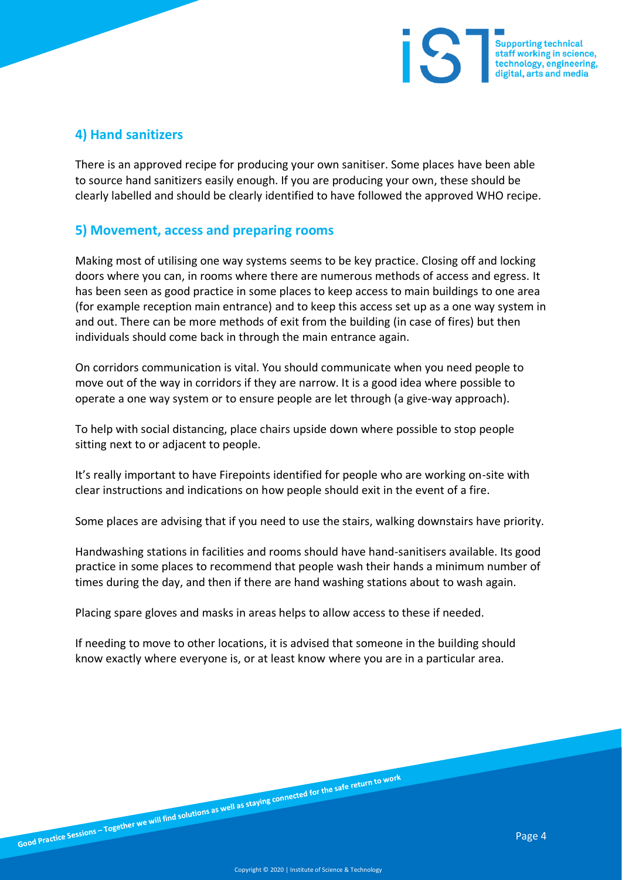

### **4) Hand sanitizers**

There is an approved recipe for producing your own sanitiser. Some places have been able to source hand sanitizers easily enough. If you are producing your own, these should be clearly labelled and should be clearly identified to have followed the approved WHO recipe.

#### **5) Movement, access and preparing rooms**

Making most of utilising one way systems seems to be key practice. Closing off and locking doors where you can, in rooms where there are numerous methods of access and egress. It has been seen as good practice in some places to keep access to main buildings to one area (for example reception main entrance) and to keep this access set up as a one way system in and out. There can be more methods of exit from the building (in case of fires) but then individuals should come back in through the main entrance again.

On corridors communication is vital. You should communicate when you need people to move out of the way in corridors if they are narrow. It is a good idea where possible to operate a one way system or to ensure people are let through (a give-way approach).

To help with social distancing, place chairs upside down where possible to stop people sitting next to or adjacent to people.

It's really important to have Firepoints identified for people who are working on-site with clear instructions and indications on how people should exit in the event of a fire.

Some places are advising that if you need to use the stairs, walking downstairs have priority.

Handwashing stations in facilities and rooms should have hand-sanitisers available. Its good practice in some places to recommend that people wash their hands a minimum number of times during the day, and then if there are hand washing stations about to wash again.

Placing spare gloves and masks in areas helps to allow access to these if needed.

If needing to move to other locations, it is advised that someone in the building should know exactly where everyone is, or at least know where you are in a particular area.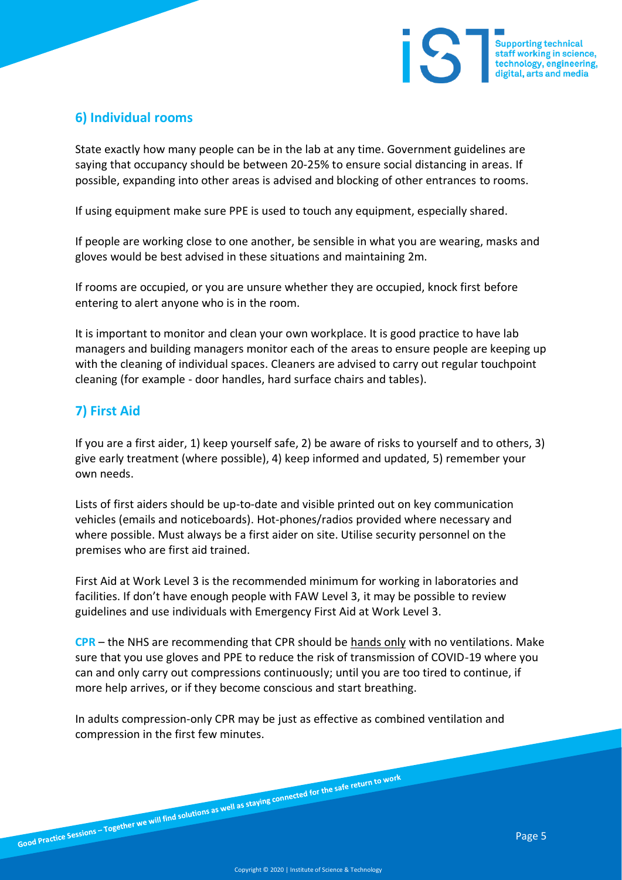

# **6) Individual rooms**

State exactly how many people can be in the lab at any time. Government guidelines are saying that occupancy should be between 20-25% to ensure social distancing in areas. If possible, expanding into other areas is advised and blocking of other entrances to rooms.

If using equipment make sure PPE is used to touch any equipment, especially shared.

If people are working close to one another, be sensible in what you are wearing, masks and gloves would be best advised in these situations and maintaining 2m.

If rooms are occupied, or you are unsure whether they are occupied, knock first before entering to alert anyone who is in the room.

It is important to monitor and clean your own workplace. It is good practice to have lab managers and building managers monitor each of the areas to ensure people are keeping up with the cleaning of individual spaces. Cleaners are advised to carry out regular touchpoint cleaning (for example - door handles, hard surface chairs and tables).

## **7) First Aid**

If you are a first aider, 1) keep yourself safe, 2) be aware of risks to yourself and to others, 3) give early treatment (where possible), 4) keep informed and updated, 5) remember your own needs.

Lists of first aiders should be up-to-date and visible printed out on key communication vehicles (emails and noticeboards). Hot-phones/radios provided where necessary and where possible. Must always be a first aider on site. Utilise security personnel on the premises who are first aid trained.

First Aid at Work Level 3 is the recommended minimum for working in laboratories and facilities. If don't have enough people with FAW Level 3, it may be possible to review guidelines and use individuals with Emergency First Aid at Work Level 3.

**CPR** – the NHS are recommending that CPR should be hands only with no ventilations. Make sure that you use gloves and PPE to reduce the risk of transmission of COVID-19 where you can and only carry out compressions continuously; until you are too tired to continue, if more help arrives, or if they become conscious and start breathing.

In adults compression-only CPR may be just as effective as combined ventilation and compression in the first few minutes.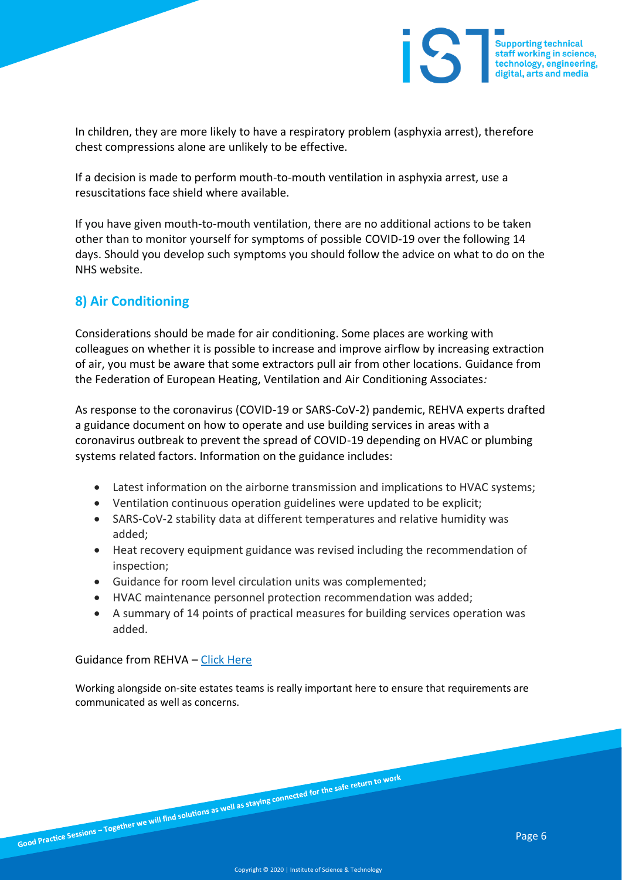

In children, they are more likely to have a respiratory problem (asphyxia arrest), therefore chest compressions alone are unlikely to be effective.

If a decision is made to perform mouth-to-mouth ventilation in asphyxia arrest, use a resuscitations face shield where available.

If you have given mouth-to-mouth ventilation, there are no additional actions to be taken other than to monitor yourself for symptoms of possible COVID-19 over the following 14 days. Should you develop such symptoms you should follow the advice on what to do on the NHS website.

## **8) Air Conditioning**

Considerations should be made for air conditioning. Some places are working with colleagues on whether it is possible to increase and improve airflow by increasing extraction of air, you must be aware that some extractors pull air from other locations. Guidance from the Federation of European Heating, Ventilation and Air Conditioning Associates*:*

As response to the coronavirus (COVID-19 or SARS-CoV-2) pandemic, REHVA experts drafted a guidance document on how to operate and use building services in areas with a coronavirus outbreak to prevent the spread of COVID-19 depending on HVAC or plumbing systems related factors. Information on the guidance includes:

- Latest information on the airborne transmission and implications to HVAC systems;
- Ventilation continuous operation guidelines were updated to be explicit;
- SARS-CoV-2 stability data at different temperatures and relative humidity was added;
- Heat recovery equipment guidance was revised including the recommendation of inspection;
- Guidance for room level circulation units was complemented;
- HVAC maintenance personnel protection recommendation was added;
- A summary of 14 points of practical measures for building services operation was added.

Guidance from REHVA – [Click Here](https://www.rehva.eu/fileadmin/user_upload/REHVA_COVID-19_guidance_document_ver2_20200403_1.pdf)

Working alongside on-site estates teams is really important here to ensure that requirements are communicated as well as concerns.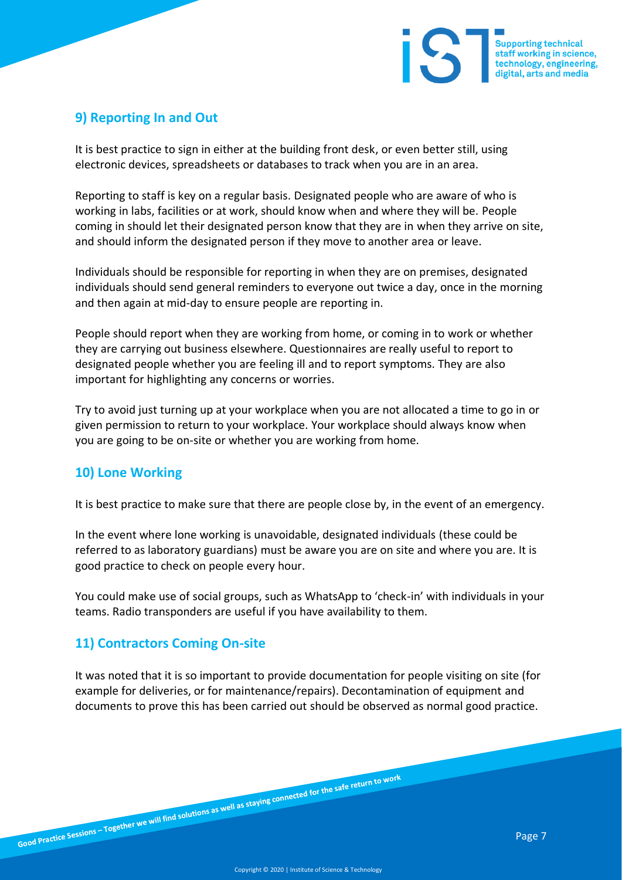

# **9) Reporting In and Out**

It is best practice to sign in either at the building front desk, or even better still, using electronic devices, spreadsheets or databases to track when you are in an area.

Reporting to staff is key on a regular basis. Designated people who are aware of who is working in labs, facilities or at work, should know when and where they will be. People coming in should let their designated person know that they are in when they arrive on site, and should inform the designated person if they move to another area or leave.

Individuals should be responsible for reporting in when they are on premises, designated individuals should send general reminders to everyone out twice a day, once in the morning and then again at mid-day to ensure people are reporting in.

People should report when they are working from home, or coming in to work or whether they are carrying out business elsewhere. Questionnaires are really useful to report to designated people whether you are feeling ill and to report symptoms. They are also important for highlighting any concerns or worries.

Try to avoid just turning up at your workplace when you are not allocated a time to go in or given permission to return to your workplace. Your workplace should always know when you are going to be on-site or whether you are working from home.

#### **10) Lone Working**

It is best practice to make sure that there are people close by, in the event of an emergency.

In the event where lone working is unavoidable, designated individuals (these could be referred to as laboratory guardians) must be aware you are on site and where you are. It is good practice to check on people every hour.

You could make use of social groups, such as WhatsApp to 'check-in' with individuals in your teams. Radio transponders are useful if you have availability to them.

#### **11) Contractors Coming On-site**

It was noted that it is so important to provide documentation for people visiting on site (for example for deliveries, or for maintenance/repairs). Decontamination of equipment and documents to prove this has been carried out should be observed as normal good practice.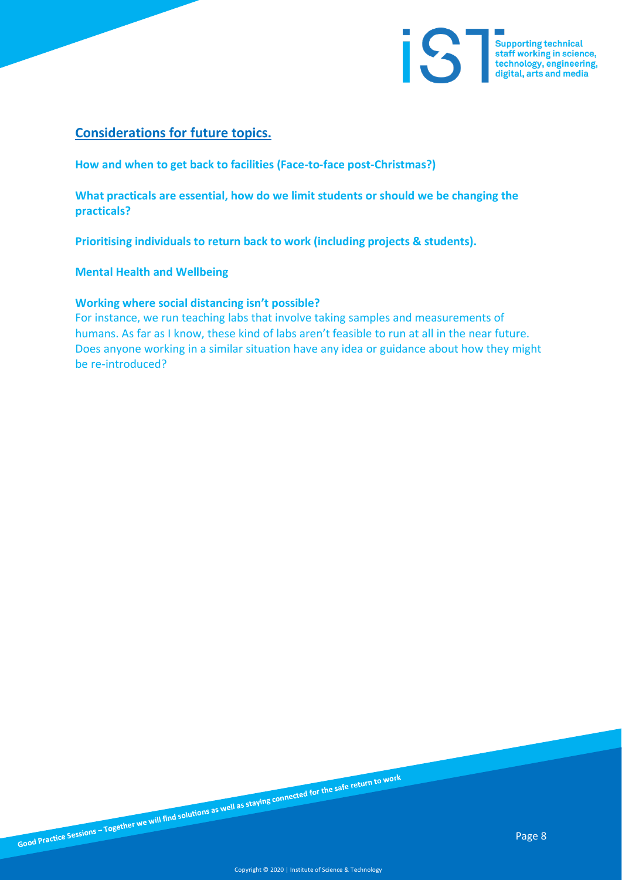

## **Considerations for future topics.**

**How and when to get back to facilities (Face-to-face post-Christmas?)**

**What practicals are essential, how do we limit students or should we be changing the practicals?**

**Prioritising individuals to return back to work (including projects & students).**

**Mental Health and Wellbeing**

#### **Working where social distancing isn't possible?**

For instance, we run teaching labs that involve taking samples and measurements of humans. As far as I know, these kind of labs aren't feasible to run at all in the near future. Does anyone working in a similar situation have any idea or guidance about how they might be re-introduced?